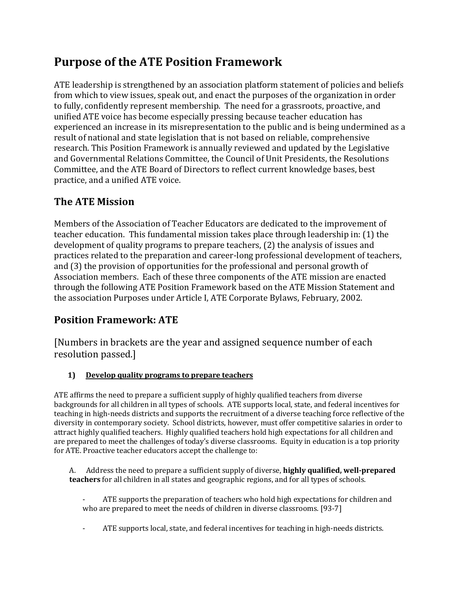# **Purpose of the ATE Position Framework**

ATE leadership is strengthened by an association platform statement of policies and beliefs from which to view issues, speak out, and enact the purposes of the organization in order to fully, confidently represent membership. The need for a grassroots, proactive, and unified ATE voice has become especially pressing because teacher education has experienced an increase in its misrepresentation to the public and is being undermined as a result of national and state legislation that is not based on reliable, comprehensive research. This Position Framework is annually reviewed and updated by the Legislative and Governmental Relations Committee, the Council of Unit Presidents, the Resolutions Committee, and the ATE Board of Directors to reflect current knowledge bases, best practice, and a unified ATE voice.

## **The ATE Mission**

Members of the Association of Teacher Educators are dedicated to the improvement of teacher education. This fundamental mission takes place through leadership in: (1) the development of quality programs to prepare teachers, (2) the analysis of issues and practices related to the preparation and career-long professional development of teachers, and (3) the provision of opportunities for the professional and personal growth of Association members. Each of these three components of the ATE mission are enacted through the following ATE Position Framework based on the ATE Mission Statement and the association Purposes under Article I, ATE Corporate Bylaws, February, 2002.

## **Position Framework: ATE**

[Numbers in brackets are the year and assigned sequence number of each resolution passed.]

### **1) Develop quality programs to prepare teachers**

ATE affirms the need to prepare a sufficient supply of highly qualified teachers from diverse backgrounds for all children in all types of schools. ATE supports local, state, and federal incentives for teaching in high-needs districts and supports the recruitment of a diverse teaching force reflective of the diversity in contemporary society. School districts, however, must offer competitive salaries in order to attract highly qualified teachers. Highly qualified teachers hold high expectations for all children and are prepared to meet the challenges of today's diverse classrooms. Equity in education is a top priority for ATE. Proactive teacher educators accept the challenge to:

A. Address the need to prepare a sufficient supply of diverse, **highly qualified, well-prepared teachers** for all children in all states and geographic regions, and for all types of schools.

ATE supports the preparation of teachers who hold high expectations for children and who are prepared to meet the needs of children in diverse classrooms. [93-7]

- ATE supports local, state, and federal incentives for teaching in high-needs districts.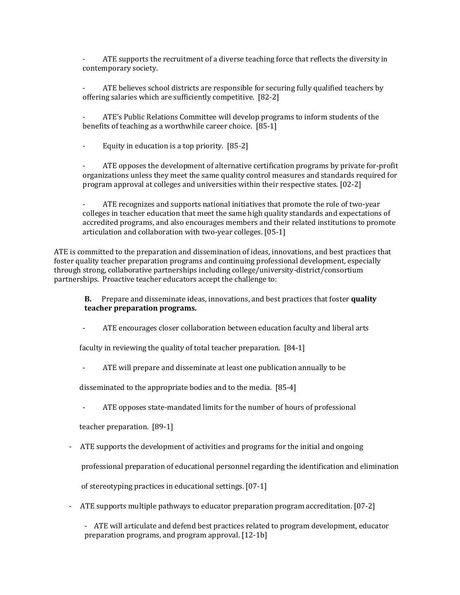ATE supports the recruitment of a diverse teaching force that reflects the diversity in contemporary society.

ATE believes school districts are responsible for securing fully qualified teachers by offering salaries which are sufficiently competitive. [82-2]

- ATE's Public Relations Committee will develop programs to inform students of the benefits of teaching as a worthwhile career choice. [85-1]

- Equity in education is a top priority. [85-2]

- ATE opposes the development of alternative certification programs by private for-profit organizations unless they meet the same quality control measures and standards required for program approval at colleges and universities within their respective states. [02-2]

- ATE recognizes and supports national initiatives that promote the role of two-year colleges in teacher education that meet the same high quality standards and expectations of accredited programs, and also encourages members and their related institutions to promote articulation and collaboration with two-year colleges. [05-1]

ATE is committed to the preparation and dissemination of ideas, innovations, and best practices that foster quality teacher preparation programs and continuing professional development, especially through strong, collaborative partnerships including college/university-district/consortium partnerships. Proactive teacher educators accept the challenge to:

**B.** Prepare and disseminate ideas, innovations, and best practices that foster **quality teacher preparation programs.**

ATE encourages closer collaboration between education faculty and liberal arts

faculty in reviewing the quality of total teacher preparation. [84-1]

ATE will prepare and disseminate at least one publication annually to be

disseminated to the appropriate bodies and to the media. [85-4]

- ATE opposes state-mandated limits for the number of hours of professional

teacher preparation. [89-1]

- ATE supports the development of activities and programs for the initial and ongoing

professional preparation of educational personnel regarding the identification and elimination

of stereotyping practices in educational settings. [07-1]

- ATE supports multiple pathways to educator preparation program accreditation. [07-2]

- ATE will articulate and defend best practices related to program development, educator preparation programs, and program approval. [12-1b]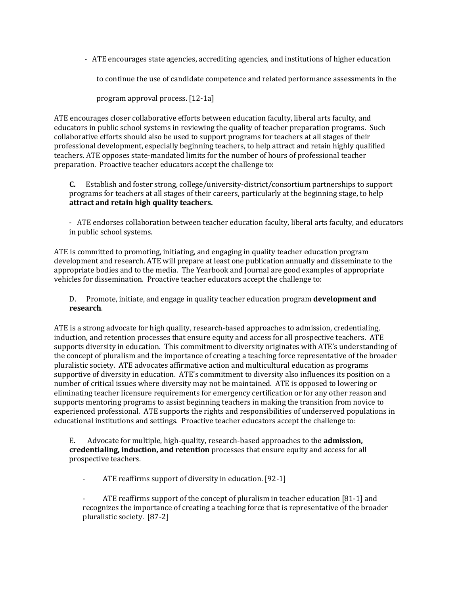- ATE encourages state agencies, accrediting agencies, and institutions of higher education

to continue the use of candidate competence and related performance assessments in the

program approval process. [12-1a]

ATE encourages closer collaborative efforts between education faculty, liberal arts faculty, and educators in public school systems in reviewing the quality of teacher preparation programs. Such collaborative efforts should also be used to support programs for teachers at all stages of their professional development, especially beginning teachers, to help attract and retain highly qualified teachers. ATE opposes state-mandated limits for the number of hours of professional teacher preparation. Proactive teacher educators accept the challenge to:

**C.** Establish and foster strong, college/university-district/consortium partnerships to support programs for teachers at all stages of their careers, particularly at the beginning stage, to help **attract and retain high quality teachers.**

- ATE endorses collaboration between teacher education faculty, liberal arts faculty, and educators in public school systems.

ATE is committed to promoting, initiating, and engaging in quality teacher education program development and research. ATE will prepare at least one publication annually and disseminate to the appropriate bodies and to the media. The Yearbook and Journal are good examples of appropriate vehicles for dissemination. Proactive teacher educators accept the challenge to:

D. Promote, initiate, and engage in quality teacher education program **development and research**.

ATE is a strong advocate for high quality, research-based approaches to admission, credentialing, induction, and retention processes that ensure equity and access for all prospective teachers. ATE supports diversity in education. This commitment to diversity originates with ATE's understanding of the concept of pluralism and the importance of creating a teaching force representative of the broader pluralistic society. ATE advocates affirmative action and multicultural education as programs supportive of diversity in education. ATE's commitment to diversity also influences its position on a number of critical issues where diversity may not be maintained. ATE is opposed to lowering or eliminating teacher licensure requirements for emergency certification or for any other reason and supports mentoring programs to assist beginning teachers in making the transition from novice to experienced professional. ATE supports the rights and responsibilities of underserved populations in educational institutions and settings. Proactive teacher educators accept the challenge to:

E. Advocate for multiple, high-quality, research-based approaches to the **admission, credentialing, induction, and retention** processes that ensure equity and access for all prospective teachers.

- ATE reaffirms support of diversity in education. [92-1]

ATE reaffirms support of the concept of pluralism in teacher education [81-1] and recognizes the importance of creating a teaching force that is representative of the broader pluralistic society. [87-2]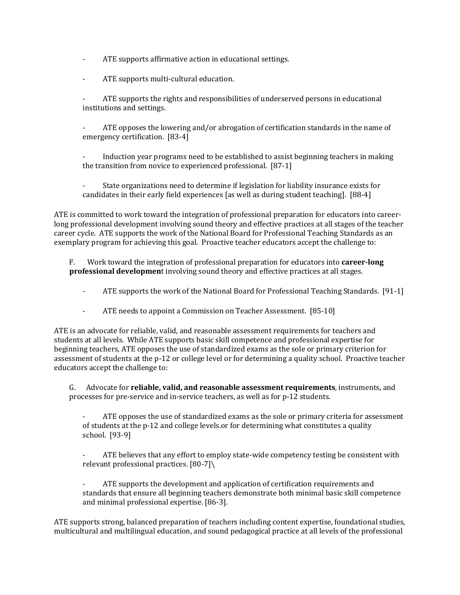- ATE supports affirmative action in educational settings.
- ATE supports multi-cultural education.

ATE supports the rights and responsibilities of underserved persons in educational institutions and settings.

ATE opposes the lowering and/or abrogation of certification standards in the name of emergency certification. [83-4]

Induction year programs need to be established to assist beginning teachers in making the transition from novice to experienced professional. [87-1]

- State organizations need to determine if legislation for liability insurance exists for candidates in their early field experiences [as well as during student teaching]. [88-4]

ATE is committed to work toward the integration of professional preparation for educators into careerlong professional development involving sound theory and effective practices at all stages of the teacher career cycle. ATE supports the work of the National Board for Professional Teaching Standards as an exemplary program for achieving this goal. Proactive teacher educators accept the challenge to:

F. Work toward the integration of professional preparation for educators into **career-long professional developmen**t involving sound theory and effective practices at all stages.

- ATE supports the work of the National Board for Professional Teaching Standards. [91-1]
- ATE needs to appoint a Commission on Teacher Assessment. [85-10]

ATE is an advocate for reliable, valid, and reasonable assessment requirements for teachers and students at all levels. While ATE supports basic skill competence and professional expertise for beginning teachers, ATE opposes the use of standardized exams as the sole or primary criterion for assessment of students at the p-12 or college level or for determining a quality school. Proactive teacher educators accept the challenge to:

G. Advocate for **reliable, valid, and reasonable assessment requirements**, instruments, and processes for pre-service and in-service teachers, as well as for p-12 students.

ATE opposes the use of standardized exams as the sole or primary criteria for assessment of students at the p-12 and college levels.or for determining what constitutes a quality school. [93-9]

ATE believes that any effort to employ state-wide competency testing be consistent with relevant professional practices. [80-7]\

ATE supports the development and application of certification requirements and standards that ensure all beginning teachers demonstrate both minimal basic skill competence and minimal professional expertise. [86-3].

ATE supports strong, balanced preparation of teachers including content expertise, foundational studies, multicultural and multilingual education, and sound pedagogical practice at all levels of the professional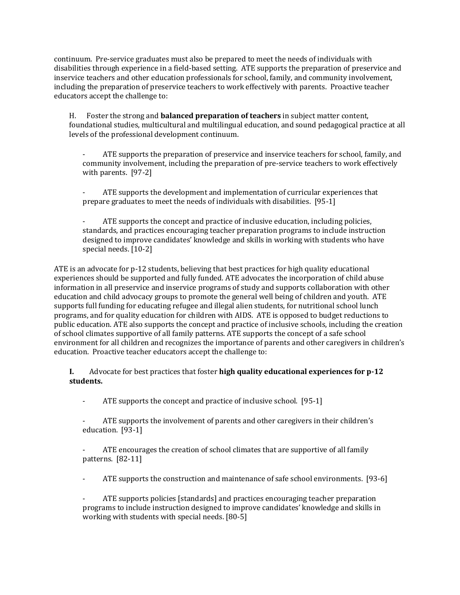continuum. Pre-service graduates must also be prepared to meet the needs of individuals with disabilities through experience in a field-based setting. ATE supports the preparation of preservice and inservice teachers and other education professionals for school, family, and community involvement, including the preparation of preservice teachers to work effectively with parents. Proactive teacher educators accept the challenge to:

H. Foster the strong and **balanced preparation of teachers** in subject matter content, foundational studies, multicultural and multilingual education, and sound pedagogical practice at all levels of the professional development continuum.

ATE supports the preparation of preservice and inservice teachers for school, family, and community involvement, including the preparation of pre-service teachers to work effectively with parents. [97-2]

- ATE supports the development and implementation of curricular experiences that prepare graduates to meet the needs of individuals with disabilities. [95-1]

ATE supports the concept and practice of inclusive education, including policies, standards, and practices encouraging teacher preparation programs to include instruction designed to improve candidates' knowledge and skills in working with students who have special needs. [10-2]

ATE is an advocate for p-12 students, believing that best practices for high quality educational experiences should be supported and fully funded. ATE advocates the incorporation of child abuse information in all preservice and inservice programs of study and supports collaboration with other education and child advocacy groups to promote the general well being of children and youth. ATE supports full funding for educating refugee and illegal alien students, for nutritional school lunch programs, and for quality education for children with AIDS. ATE is opposed to budget reductions to public education. ATE also supports the concept and practice of inclusive schools, including the creation of school climates supportive of all family patterns. ATE supports the concept of a safe school environment for all children and recognizes the importance of parents and other caregivers in children's education. Proactive teacher educators accept the challenge to:

**I.** Advocate for best practices that foster **high quality educational experiences for p-12 students.**

- ATE supports the concept and practice of inclusive school. [95-1]

ATE supports the involvement of parents and other caregivers in their children's education. [93-1]

ATE encourages the creation of school climates that are supportive of all family patterns. [82-11]

ATE supports the construction and maintenance of safe school environments. [93-6]

ATE supports policies [standards] and practices encouraging teacher preparation programs to include instruction designed to improve candidates' knowledge and skills in working with students with special needs. [80-5]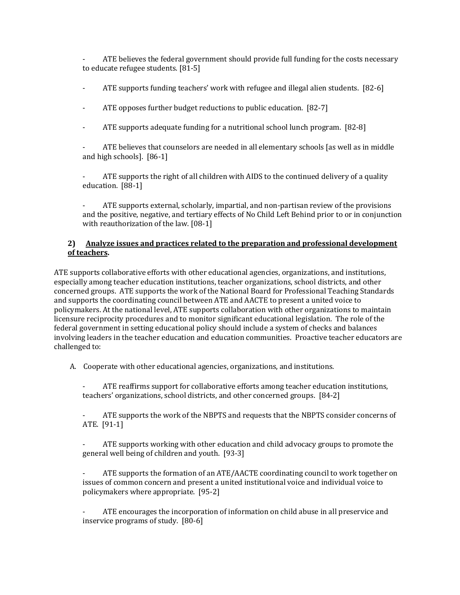ATE believes the federal government should provide full funding for the costs necessary to educate refugee students. [81-5]

- ATE supports funding teachers' work with refugee and illegal alien students. [82-6]
- ATE opposes further budget reductions to public education. [82-7]
- ATE supports adequate funding for a nutritional school lunch program. [82-8]

ATE believes that counselors are needed in all elementary schools [as well as in middle and high schools]. [86-1]

ATE supports the right of all children with AIDS to the continued delivery of a quality education. [88-1]

ATE supports external, scholarly, impartial, and non-partisan review of the provisions and the positive, negative, and tertiary effects of No Child Left Behind prior to or in conjunction with reauthorization of the law. [08-1]

#### **2) Analyze issues and practices related to the preparation and professional development of teachers.**

ATE supports collaborative efforts with other educational agencies, organizations, and institutions, especially among teacher education institutions, teacher organizations, school districts, and other concerned groups. ATE supports the work of the National Board for Professional Teaching Standards and supports the coordinating council between ATE and AACTE to present a united voice to policymakers. At the national level, ATE supports collaboration with other organizations to maintain licensure reciprocity procedures and to monitor significant educational legislation. The role of the federal government in setting educational policy should include a system of checks and balances involving leaders in the teacher education and education communities. Proactive teacher educators are challenged to:

A. Cooperate with other educational agencies, organizations, and institutions.

- ATE reaffirms support for collaborative efforts among teacher education institutions, teachers' organizations, school districts, and other concerned groups. [84-2]

ATE supports the work of the NBPTS and requests that the NBPTS consider concerns of ATE. [91-1]

ATE supports working with other education and child advocacy groups to promote the general well being of children and youth. [93-3]

ATE supports the formation of an ATE/AACTE coordinating council to work together on issues of common concern and present a united institutional voice and individual voice to policymakers where appropriate. [95-2]

- ATE encourages the incorporation of information on child abuse in all preservice and inservice programs of study. [80-6]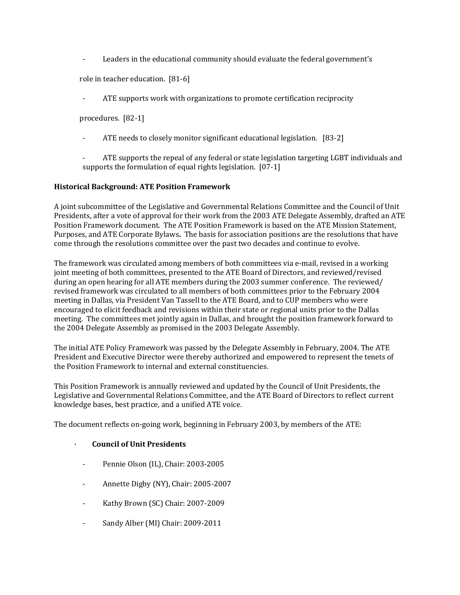- Leaders in the educational community should evaluate the federal government's

role in teacher education. [81-6]

ATE supports work with organizations to promote certification reciprocity

procedures. [82-1]

ATE needs to closely monitor significant educational legislation. [83-2]

- ATE supports the repeal of any federal or state legislation targeting LGBT individuals and supports the formulation of equal rights legislation. [07-1]

#### **Historical Background: ATE Position Framework**

A joint subcommittee of the Legislative and Governmental Relations Committee and the Council of Unit Presidents, after a vote of approval for their work from the 2003 ATE Delegate Assembly, drafted an ATE Position Framework document. The ATE Position Framework is based on the ATE Mission Statement, Purposes, and ATE Corporate Bylaws**.** The basis for association positions are the resolutions that have come through the resolutions committee over the past two decades and continue to evolve.

The framework was circulated among members of both committees via e-mail, revised in a working joint meeting of both committees, presented to the ATE Board of Directors, and reviewed/revised during an open hearing for all ATE members during the 2003 summer conference. The reviewed/ revised framework was circulated to all members of both committees prior to the February 2004 meeting in Dallas, via President Van Tassell to the ATE Board, and to CUP members who were encouraged to elicit feedback and revisions within their state or regional units prior to the Dallas meeting. The committees met jointly again in Dallas, and brought the position framework forward to the 2004 Delegate Assembly as promised in the 2003 Delegate Assembly.

The initial ATE Policy Framework was passed by the Delegate Assembly in February, 2004. The ATE President and Executive Director were thereby authorized and empowered to represent the tenets of the Position Framework to internal and external constituencies.

This Position Framework is annually reviewed and updated by the Council of Unit Presidents, the Legislative and Governmental Relations Committee, and the ATE Board of Directors to reflect current knowledge bases, best practice, and a unified ATE voice.

The document reflects on-going work, beginning in February 2003, by members of the ATE:

#### · **Council of Unit Presidents**

- Pennie Olson (IL), Chair: 2003-2005
- Annette Digby (NY), Chair: 2005-2007
- Kathy Brown (SC) Chair: 2007-2009
- Sandy Alber (MI) Chair: 2009-2011